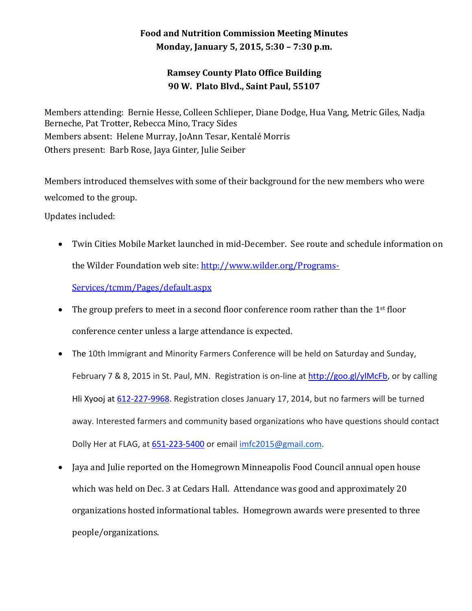## **Food and Nutrition Commission Meeting Minutes Monday, January 5, 2015, 5:30 – 7:30 p.m.**

## **Ramsey County Plato Office Building 90 W. Plato Blvd., Saint Paul, 55107**

Members attending: Bernie Hesse, Colleen Schlieper, Diane Dodge, Hua Vang, Metric Giles, Nadja Berneche, Pat Trotter, Rebecca Mino, Tracy Sides Members absent: Helene Murray, JoAnn Tesar, Kentalé Morris Others present: Barb Rose, Jaya Ginter, Julie Seiber

Members introduced themselves with some of their background for the new members who were welcomed to the group.

Updates included:

 Twin Cities Mobile Market launched in mid-December. See route and schedule information on the Wilder Foundation web site: [http://www.wilder.org/Programs-](http://www.wilder.org/Programs-Services/tcmm/Pages/default.aspx)

[Services/tcmm/Pages/default.aspx](http://www.wilder.org/Programs-Services/tcmm/Pages/default.aspx) 

- $\bullet$  The group prefers to meet in a second floor conference room rather than the 1<sup>st</sup> floor conference center unless a large attendance is expected.
- The 10th Immigrant and Minority Farmers Conference will be held on Saturday and Sunday, February 7 & 8, 2015 in St. Paul, MN. Registration is on-line at [http://goo.gl/ylMcFb,](http://goo.gl/ylMcFb) or by calling Hli Xyooj at [612-227-9968.](tel:612-227-9968) Registration closes January 17, 2014, but no farmers will be turned away. Interested farmers and community based organizations who have questions should contact Dolly Her at FLAG, at [651-223-5400](tel:651-223-5400) or emai[l imfc2015@gmail.com.](mailto:imfc2015@gmail.com)
- Jaya and Julie reported on the Homegrown Minneapolis Food Council annual open house which was held on Dec. 3 at Cedars Hall. Attendance was good and approximately 20 organizations hosted informational tables. Homegrown awards were presented to three people/organizations.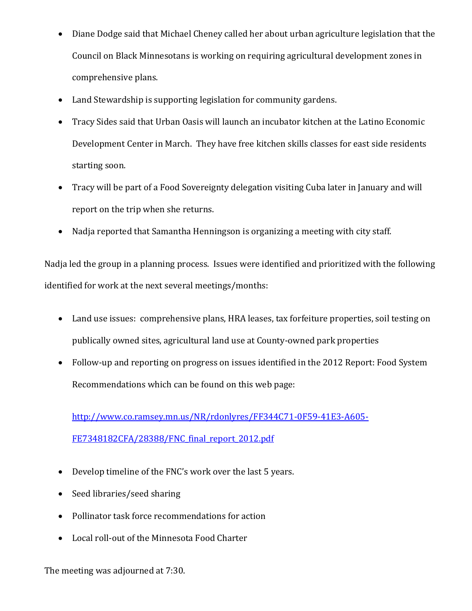- Diane Dodge said that Michael Cheney called her about urban agriculture legislation that the Council on Black Minnesotans is working on requiring agricultural development zones in comprehensive plans.
- Land Stewardship is supporting legislation for community gardens.
- Tracy Sides said that Urban Oasis will launch an incubator kitchen at the Latino Economic Development Center in March. They have free kitchen skills classes for east side residents starting soon.
- Tracy will be part of a Food Sovereignty delegation visiting Cuba later in January and will report on the trip when she returns.
- Nadja reported that Samantha Henningson is organizing a meeting with city staff.

Nadja led the group in a planning process. Issues were identified and prioritized with the following identified for work at the next several meetings/months:

- Land use issues: comprehensive plans, HRA leases, tax forfeiture properties, soil testing on publically owned sites, agricultural land use at County-owned park properties
- Follow-up and reporting on progress on issues identified in the 2012 Report: Food System Recommendations which can be found on this web page:

[http://www.co.ramsey.mn.us/NR/rdonlyres/FF344C71-0F59-41E3-A605-](http://www.co.ramsey.mn.us/NR/rdonlyres/FF344C71-0F59-41E3-A605-FE7348182CFA/28388/FNC_final_report_2012.pdf) FE7348182CFA/28388/FNC final report 2012.pdf

- Develop timeline of the FNC's work over the last 5 years.
- Seed libraries/seed sharing
- Pollinator task force recommendations for action
- Local roll-out of the Minnesota Food Charter

The meeting was adjourned at 7:30.